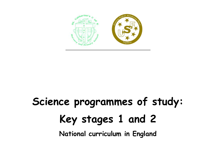

## **Science programmes of study: Key stages 1 and 2 National curriculum in England**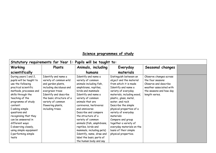## **Science programmes of study**

| Statutory requirements for Year 1: Pupils will be taught to: |                          |                            |                            |                         |  |  |
|--------------------------------------------------------------|--------------------------|----------------------------|----------------------------|-------------------------|--|--|
| Working                                                      | Plants                   | Animals, including         | Everyday                   | Seasonal changes        |  |  |
| scientifically                                               |                          | humans                     | materials                  |                         |  |  |
| During years 1 and 2,                                        | Identify and name a      | Identify and name a        | Distinguish between an     | Observe changes across  |  |  |
| pupils will be taught to                                     | variety of common wild   | variety of common          | object and the material    | the four seasons        |  |  |
| use the following                                            | and garden plants,       | animals including fish,    | from which it is made      | Observe and describe    |  |  |
| practical scientific                                         | including deciduous and  | amphibians, reptiles,      | Identify and name a        | weather associated with |  |  |
| methods, processes and                                       | evergreen trees          | birds and mammals          | variety of everyday        | the seasons and how day |  |  |
| skills through the                                           | Identify and describe    | Identify and name a        | materials, including wood, | length varies.          |  |  |
| teaching of the                                              | the basic structure of a | variety of common          | plastic, glass, metal,     |                         |  |  |
| programme of study                                           | variety of common        | animals that are           | water, and rock            |                         |  |  |
| content:                                                     | flowering plants,        | carnivores, herbivores     | Describe the simple        |                         |  |  |
| $\mathbb I$ asking simple                                    | including trees.         | and omnivores              | physical properties of a   |                         |  |  |
| questions and                                                |                          | Describe and compare       | variety of everyday        |                         |  |  |
| recognising that they                                        |                          | the structure of a         | materials                  |                         |  |  |
| can be answered in                                           |                          | variety of common          | Compare and group          |                         |  |  |
| different ways                                               |                          | animals (fish, amphibians, | together a variety of      |                         |  |  |
| I observing closely,                                         |                          | reptiles, birds and        | everyday materials on the  |                         |  |  |
| using simple equipment                                       |                          | mammals, including pets)   | basis of their simple      |                         |  |  |
| I performing simple                                          |                          | Identify, name, draw and   | physical properties.       |                         |  |  |
| tests                                                        |                          | label the basic parts of   |                            |                         |  |  |
|                                                              |                          | the human body and say     |                            |                         |  |  |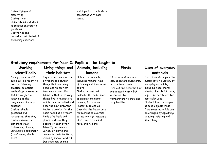| which part of the body is |  |  |
|---------------------------|--|--|
| associated with each      |  |  |
| sense.                    |  |  |
|                           |  |  |
|                           |  |  |
|                           |  |  |
|                           |  |  |
|                           |  |  |
|                           |  |  |
|                           |  |  |
|                           |  |  |

| Statutory requirements for Year 2: Pupils will be taught to: |                            |                           |                           |                              |  |  |  |
|--------------------------------------------------------------|----------------------------|---------------------------|---------------------------|------------------------------|--|--|--|
| Working                                                      | Living things and          | Animals, including        | Plants                    | Uses of everyday             |  |  |  |
| scientifically                                               | their habitats             | humans                    |                           | materials                    |  |  |  |
| During years 1 and 2,                                        | Explore and compare the    | Notice that animals,      | Observe and describe      | Identify and compare the     |  |  |  |
| pupils will be taught to                                     | differences between        | including humans, have    | how seeds and bulbs grow  | suitability of a variety of  |  |  |  |
| use the following                                            | things that are living,    | offspring which grow into | into mature plants        | everyday materials,          |  |  |  |
| practical scientific                                         | dead, and things that      | adults                    | Find out and describe how | including wood, metal,       |  |  |  |
| methods, processes and                                       | have never been alive      | Find out about and        | plants need water, light  | plastic, glass, brick, rock, |  |  |  |
| skills through the                                           | Identify that most living  | describe the basic needs  | and a suitable            | paper and cardboard for      |  |  |  |
| teaching of the                                              | things live in habitats to | of animals, including     | temperature to grow and   | particular uses              |  |  |  |
| programme of study                                           | which they are suited and  | humans, for survival      | stay healthy.             | Find out how the shapes      |  |  |  |
| content:                                                     | describe how different     | (water, food and air)     |                           | of solid objects made        |  |  |  |
| $\Box$ asking simple                                         | habitats provide for the   | Describe the importance   |                           | from some materials can      |  |  |  |
| questions and                                                | basic needs of different   | for humans of exercise.   |                           | be changed by squashing,     |  |  |  |
| recognising that they                                        | kinds of animals and       | eating the right amounts  |                           | bending, twisting and        |  |  |  |
| can be answered in                                           | plants, and how they       | of different types of     |                           | stretching.                  |  |  |  |
| different ways                                               | depend on each other       | food, and hygiene.        |                           |                              |  |  |  |
| I observing closely,                                         | Identify and name a        |                           |                           |                              |  |  |  |
| using simple equipment                                       | variety of plants and      |                           |                           |                              |  |  |  |
| I performing simple                                          | animals in their habitats, |                           |                           |                              |  |  |  |
| tests                                                        | including micro-habitats   |                           |                           |                              |  |  |  |
|                                                              | Describe how animals       |                           |                           |                              |  |  |  |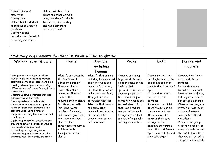| $\square$ identifying and | obtain their food from     |  |  |
|---------------------------|----------------------------|--|--|
| classifying               | plants and other animals,  |  |  |
| $\Box$ using their        | using the idea of a simple |  |  |
| observations and ideas    | food chain, and identify   |  |  |
| to suggest answers to     | and name different         |  |  |
| questions                 | sources of food.           |  |  |
| $\square$ gathering and   |                            |  |  |
| recording data to help in |                            |  |  |
| answering questions.      |                            |  |  |
|                           |                            |  |  |
|                           |                            |  |  |

| Statutory requirements for Year 3: Pupils will<br>be taught to:                                                                                                                                                                                                                                                                                                                                                                                                                                                                                                                                                                                                                                                                                                        |                                                                                                                                                                                                                                                                                                                                                                                              |                                                                                                                                                                                                                                                                                                                            |                                                                                                                                                                                                                                                                                                                             |                                                                                                                                                                                                                                                                                                                                                                                                |                                                                                                                                                                                                                                                                                                                                                                                                                                   |  |
|------------------------------------------------------------------------------------------------------------------------------------------------------------------------------------------------------------------------------------------------------------------------------------------------------------------------------------------------------------------------------------------------------------------------------------------------------------------------------------------------------------------------------------------------------------------------------------------------------------------------------------------------------------------------------------------------------------------------------------------------------------------------|----------------------------------------------------------------------------------------------------------------------------------------------------------------------------------------------------------------------------------------------------------------------------------------------------------------------------------------------------------------------------------------------|----------------------------------------------------------------------------------------------------------------------------------------------------------------------------------------------------------------------------------------------------------------------------------------------------------------------------|-----------------------------------------------------------------------------------------------------------------------------------------------------------------------------------------------------------------------------------------------------------------------------------------------------------------------------|------------------------------------------------------------------------------------------------------------------------------------------------------------------------------------------------------------------------------------------------------------------------------------------------------------------------------------------------------------------------------------------------|-----------------------------------------------------------------------------------------------------------------------------------------------------------------------------------------------------------------------------------------------------------------------------------------------------------------------------------------------------------------------------------------------------------------------------------|--|
| <b>Working scientifically</b>                                                                                                                                                                                                                                                                                                                                                                                                                                                                                                                                                                                                                                                                                                                                          | Plants                                                                                                                                                                                                                                                                                                                                                                                       | Animals,                                                                                                                                                                                                                                                                                                                   | <b>Rocks</b>                                                                                                                                                                                                                                                                                                                | Light                                                                                                                                                                                                                                                                                                                                                                                          | Forces and                                                                                                                                                                                                                                                                                                                                                                                                                        |  |
|                                                                                                                                                                                                                                                                                                                                                                                                                                                                                                                                                                                                                                                                                                                                                                        |                                                                                                                                                                                                                                                                                                                                                                                              | including                                                                                                                                                                                                                                                                                                                  |                                                                                                                                                                                                                                                                                                                             |                                                                                                                                                                                                                                                                                                                                                                                                | magnets                                                                                                                                                                                                                                                                                                                                                                                                                           |  |
|                                                                                                                                                                                                                                                                                                                                                                                                                                                                                                                                                                                                                                                                                                                                                                        |                                                                                                                                                                                                                                                                                                                                                                                              | humans                                                                                                                                                                                                                                                                                                                     |                                                                                                                                                                                                                                                                                                                             |                                                                                                                                                                                                                                                                                                                                                                                                |                                                                                                                                                                                                                                                                                                                                                                                                                                   |  |
| During years 3 and 4, pupils will be<br>taught to use the following practical<br>scientific methods, processes and skills<br>I asking relevant questions and using<br>different types of scientific enquiries to<br>answer them<br>I setting up simple practical enquiries,<br>comparative and fair tests<br>I making systematic and careful<br>observations and, where appropriate,<br>taking accurate measurements using<br>standard units, using a range of<br>equipment, including thermometers and<br>data loggers<br>I gathering, recording, classifying and<br>presenting data in a variety of ways to<br>help in answering questions<br>I recording findings using simple<br>scientific language, drawings, labelled<br>diagrams, keys, bar charts, and tables | Identify and describe<br>the functions of<br>different parts of<br>flowering plants:<br>roots, stem/trunk,<br>leaves and flowers<br>Explore the<br>requirements of plants<br>for life and growth<br>(air, light, water,<br>nutrients from soil,<br>and room to grow) and<br>how they vary from<br>plant to plant<br>Investigate the way in<br>which water is<br>transported within<br>plants | Identify that animals,<br>including humans, need<br>the right types and<br>amount of nutrition,<br>and that they cannot<br>make their own food;<br>they get nutrition<br>from what they eat<br>Identify that humans<br>and some other<br>animals have skeletons<br>and muscles for<br>support, protection<br>and movement. | Compare and group<br>together different<br>kinds of rocks on the<br>basis of their<br>appearance and simple<br>physical properties<br>Describe in simple<br>terms how fossils are<br>formed when things<br>that have lived are<br>trapped within rock<br>Recognise that soils<br>are made from rocks<br>and organic matter. | Recognise that they<br>need light in order to<br>see things and that<br>dark is the absence of<br>light<br>Notice that light is<br>reflected from<br>surfaces<br>Recognise that light<br>from the sun can be<br>dangerous and that<br>there are ways to<br>protect their eyes<br>Recognise that<br>shadows are formed<br>when the light from a<br>light source is blocked<br>by a solid object | Compare how things<br>move on different<br>surfaces<br>Notice that some<br>forces need contact<br>between two objects,<br>but magnetic forces<br>can act at a distance<br>Observe how magnets<br>attract or repel each<br>other and attract<br>some materials and<br>not others<br>Compare and group<br>together a variety of<br>everyday materials on<br>the basis of whether<br>they are attracted to<br>a magnet, and identify |  |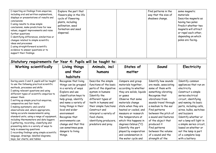| I reporting on findings from enquiries,<br>including oral and written explanations,<br>displays or presentations of results and<br>conclusions<br>I using results to draw simple<br>conclusions, make predictions for new<br>values, suggest improvements and raise<br>further questions<br>I identifying differences, similarities or<br>changes related to simple scientific<br>ideas and processes<br>I using straightforward scientific<br>evidence to answer questions or to<br>support their findings.                                                                                                                                                                                                                                                        | Explore the part that<br>flowers play in the life<br>cycle of flowering<br>plants, including<br>pollination, seed<br>formation and seed<br>dispersal.                                                                                                                                                                                                |                                                                                                                                                                                                                                                                                                |                                                                                                                                                                                                                                                                                                                                                                                             | Find patterns in the<br>way that the size of<br>shadows change.                                                                                                                                                                                                                                                                                                     | some magnetic<br>materials<br>Describe magnets as<br>having two poles<br>Predict whether two<br>magnets will attract<br>or repel each other,<br>depending on which<br>poles are facing.                                                                                                                                                                                                       |
|---------------------------------------------------------------------------------------------------------------------------------------------------------------------------------------------------------------------------------------------------------------------------------------------------------------------------------------------------------------------------------------------------------------------------------------------------------------------------------------------------------------------------------------------------------------------------------------------------------------------------------------------------------------------------------------------------------------------------------------------------------------------|------------------------------------------------------------------------------------------------------------------------------------------------------------------------------------------------------------------------------------------------------------------------------------------------------------------------------------------------------|------------------------------------------------------------------------------------------------------------------------------------------------------------------------------------------------------------------------------------------------------------------------------------------------|---------------------------------------------------------------------------------------------------------------------------------------------------------------------------------------------------------------------------------------------------------------------------------------------------------------------------------------------------------------------------------------------|---------------------------------------------------------------------------------------------------------------------------------------------------------------------------------------------------------------------------------------------------------------------------------------------------------------------------------------------------------------------|-----------------------------------------------------------------------------------------------------------------------------------------------------------------------------------------------------------------------------------------------------------------------------------------------------------------------------------------------------------------------------------------------|
| Statutory requirements for Year 4: Pupils will be taught to:<br><b>Working scientifically</b>                                                                                                                                                                                                                                                                                                                                                                                                                                                                                                                                                                                                                                                                       | Living things                                                                                                                                                                                                                                                                                                                                        | Animals, incl                                                                                                                                                                                                                                                                                  | States of                                                                                                                                                                                                                                                                                                                                                                                   | Sound                                                                                                                                                                                                                                                                                                                                                               | Electricity                                                                                                                                                                                                                                                                                                                                                                                   |
|                                                                                                                                                                                                                                                                                                                                                                                                                                                                                                                                                                                                                                                                                                                                                                     | and their                                                                                                                                                                                                                                                                                                                                            | humans                                                                                                                                                                                                                                                                                         | matter                                                                                                                                                                                                                                                                                                                                                                                      |                                                                                                                                                                                                                                                                                                                                                                     |                                                                                                                                                                                                                                                                                                                                                                                               |
|                                                                                                                                                                                                                                                                                                                                                                                                                                                                                                                                                                                                                                                                                                                                                                     |                                                                                                                                                                                                                                                                                                                                                      |                                                                                                                                                                                                                                                                                                |                                                                                                                                                                                                                                                                                                                                                                                             |                                                                                                                                                                                                                                                                                                                                                                     |                                                                                                                                                                                                                                                                                                                                                                                               |
|                                                                                                                                                                                                                                                                                                                                                                                                                                                                                                                                                                                                                                                                                                                                                                     | habitats                                                                                                                                                                                                                                                                                                                                             |                                                                                                                                                                                                                                                                                                |                                                                                                                                                                                                                                                                                                                                                                                             |                                                                                                                                                                                                                                                                                                                                                                     |                                                                                                                                                                                                                                                                                                                                                                                               |
| During years 3 and 4, pupils will be taught<br>to use the following practical scientific<br>methods, processes and skills<br>I asking relevant questions and using<br>different types of scientific enquiries to<br>answer them<br>I setting up simple practical enquiries,<br>comparative and fair tests<br>I making systematic and careful<br>observations and, where appropriate,<br>taking accurate measurements using<br>standard units, using a range of equipment,<br>including thermometers and data loggers<br>I gathering, recording, classifying and<br>presenting data in a variety of ways to<br>help in answering questions<br>I recording findings using simple scientific<br>language, drawings, labelled diagrams,<br>keys, bar charts, and tables | Recognise that living<br>things can be grouped<br>in a variety of ways<br>Explore and use<br>classification keys to<br>help group, identify<br>and name a variety of<br>living things in their<br>local and wider<br>environment<br>Recognise that<br>environments can<br>change and that this<br>can sometimes pose<br>dangers to living<br>things. | Describe the simple<br>functions of the basic<br>parts of the digestive<br>system in humans<br>Identify the<br>different types of<br>teeth in humans and<br>their simple functions<br>Construct and<br>interpret a variety of<br>food chains,<br>identifying producers,<br>predators and prey. | Compare and group<br>materials together,<br>according to whether<br>they are solids, liquids<br>or gases<br>Observe that some<br>materials change<br>state when they are<br>heated or cooled, and<br>measure or research<br>the temperature at<br>which this happens in<br>degrees Celsius (°C)<br>Identify the part<br>played by evaporation<br>and condensation in<br>the water cycle and | Identify how sounds<br>are made, associating<br>some of them with<br>something vibrating<br>Recognise that<br>vibrations from<br>sounds travel through<br>a medium to the ear<br>Find patterns<br>between the pitch of<br>a sound and features<br>of the object that<br>produced it<br>Find patterns<br>between the volume<br>of a sound and the<br>strength of the | Identify common<br>appliances that run on<br>electricity<br>Construct a simple<br>series electrical<br>circuit, identifying<br>and naming its basic<br>parts, including cells,<br>wires, bulbs, switches<br>and buzzers<br>Identify whether or<br>not a lamp will light in<br>a simple series circuit,<br>based on whether or<br>not the lamp is part<br>of a complete loop<br>with a battery |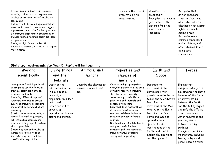| I reporting on findings from enquiries,<br>including oral and written explanations,<br>displays or presentations of results and<br>conclusions<br>$\Box$ using results to draw simple conclusions,<br>make predictions for new values, suggest<br>improvements and raise further questions<br>I identifying differences, similarities or<br>changes related to simple scientific ideas<br>and processes<br>I using straightforward scientific<br>evidence to answer questions or to support<br>their findings. |  | associate the rate of<br>evaporation with<br>temperature. | vibrations that<br>produced it<br>Recognise that sounds<br>get fainter as the<br>distance from the<br>sound source<br>increases. | Recognise that a<br>switch opens and<br>closes a circuit and<br>associate this with<br>whether or not a lamp<br>lights in a simple<br>series circuit<br>Recognise some<br>common conductors<br>and insulators, and<br>associate metals with<br>being good<br>conductors. |
|----------------------------------------------------------------------------------------------------------------------------------------------------------------------------------------------------------------------------------------------------------------------------------------------------------------------------------------------------------------------------------------------------------------------------------------------------------------------------------------------------------------|--|-----------------------------------------------------------|----------------------------------------------------------------------------------------------------------------------------------|--------------------------------------------------------------------------------------------------------------------------------------------------------------------------------------------------------------------------------------------------------------------------|
|----------------------------------------------------------------------------------------------------------------------------------------------------------------------------------------------------------------------------------------------------------------------------------------------------------------------------------------------------------------------------------------------------------------------------------------------------------------------------------------------------------------|--|-----------------------------------------------------------|----------------------------------------------------------------------------------------------------------------------------------|--------------------------------------------------------------------------------------------------------------------------------------------------------------------------------------------------------------------------------------------------------------------------|

| Statutory requirements for Year 5: Pupils will be taught to:                                                                                                                                                                                                                                                                                                                                                                                                                                                                                                                                |                                                                                                                                                                                                          |                                                          |                                                                                                                                                                                                                                                                                                                                                                                                                                                                                                                                         |                                                                                                                                                                                                                                                                                                                                                       |                                                                                                                                                                                                                                                                                                                                                                                      |  |  |
|---------------------------------------------------------------------------------------------------------------------------------------------------------------------------------------------------------------------------------------------------------------------------------------------------------------------------------------------------------------------------------------------------------------------------------------------------------------------------------------------------------------------------------------------------------------------------------------------|----------------------------------------------------------------------------------------------------------------------------------------------------------------------------------------------------------|----------------------------------------------------------|-----------------------------------------------------------------------------------------------------------------------------------------------------------------------------------------------------------------------------------------------------------------------------------------------------------------------------------------------------------------------------------------------------------------------------------------------------------------------------------------------------------------------------------------|-------------------------------------------------------------------------------------------------------------------------------------------------------------------------------------------------------------------------------------------------------------------------------------------------------------------------------------------------------|--------------------------------------------------------------------------------------------------------------------------------------------------------------------------------------------------------------------------------------------------------------------------------------------------------------------------------------------------------------------------------------|--|--|
| Working                                                                                                                                                                                                                                                                                                                                                                                                                                                                                                                                                                                     | Living things                                                                                                                                                                                            | Animals, incl                                            | Properties and                                                                                                                                                                                                                                                                                                                                                                                                                                                                                                                          | Earth and                                                                                                                                                                                                                                                                                                                                             | <b>Forces</b>                                                                                                                                                                                                                                                                                                                                                                        |  |  |
| scientifically                                                                                                                                                                                                                                                                                                                                                                                                                                                                                                                                                                              | and their                                                                                                                                                                                                | humans                                                   | changes of                                                                                                                                                                                                                                                                                                                                                                                                                                                                                                                              | <b>Space</b>                                                                                                                                                                                                                                                                                                                                          |                                                                                                                                                                                                                                                                                                                                                                                      |  |  |
| During years 5 and 6, pupils will<br>be taught to use the following<br>practical scientific methods,<br>processes and skills:<br>I planning different types of<br>scientific enquiries to answer<br>questions, including recognising<br>and controlling variables where<br>necessary<br>$\Box$ taking measurements, using a<br>range of scientific equipment,<br>with increasing accuracy and<br>precision, taking repeat readings<br>when appropriate<br>I recording data and results of<br>increasing complexity using<br>scientific diagrams and labels,<br>classification keys, tables, | habitats<br>Describe the<br>differences in the<br>life cycles of a<br>mammal, an<br>amphibian, an insect<br>and a bird<br>Describe the life<br>process of<br>reproduction in some<br>plants and animals. | Describe the changes as<br>humans develop to old<br>age. | materials<br>Compare and group together<br>everyday materials on the basis<br>of their properties, including<br>their hardness, solubility,<br>transparency, conductivity<br>(electrical and thermal), and<br>response to magnets<br>Know that some materials will<br>dissolve in liquid to form a<br>solution, and describe how to<br>recover a substance from a<br>solution<br>Use knowledge of solids, liquids<br>and gases to decide how<br>mixtures might be separated,<br>including through filtering,<br>sieving and evaporating | Describe the<br>movement of the<br>Earth, and other<br>planets, relative to the<br>Sun in the solar system<br>Describe the<br>movement of the Moon<br>relative to the Earth<br>Describe the Sun,<br>Earth and Moon as<br>approximately<br>spherical bodies<br>Use the idea of the<br>Earth's rotation to<br>explain day and night<br>and the apparent | Explain that<br>unsupported objects<br>fall towards the Earth<br>because of the force<br>of gravity acting<br>between the Earth<br>and the falling object<br>Identify the effects<br>of air resistance,<br>water resistance and<br>friction, that act<br>between moving<br>surfaces<br>Recognise that some<br>mechanisms, including<br>levers, pulleys and<br>gears, allow a smaller |  |  |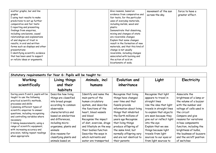| scatter graphs, bar and line      |  | Give reasons, based on           | movement of the sun | force to have a |
|-----------------------------------|--|----------------------------------|---------------------|-----------------|
| graphs                            |  | evidence from comparative and    | across the sky.     | greater effect. |
| I using test results to make      |  | fair tests, for the particular   |                     |                 |
| predictions to set up further     |  | uses of everyday materials,      |                     |                 |
| comparative and fair tests        |  | including metals, wood and       |                     |                 |
| I reporting and presenting        |  | plastic                          |                     |                 |
| findings from enquiries,          |  | Demonstrate that dissolving,     |                     |                 |
| including conclusions, causal     |  | mixing and changes of state      |                     |                 |
| relationships and explanations    |  | are reversible changes           |                     |                 |
| of and degree of trust in         |  | Explain that some changes        |                     |                 |
| results, in oral and written      |  | result in the formation of new   |                     |                 |
| forms such as displays and other  |  | materials, and that this kind of |                     |                 |
| presentations                     |  | change is not usually            |                     |                 |
| I identifying scientific evidence |  | reversible, including changes    |                     |                 |
| that has been used to support     |  | associated with burning and      |                     |                 |
| or refute ideas or arguments.     |  | the action of acid on            |                     |                 |
|                                   |  | bicarbonate of soda.             |                     |                 |
|                                   |  |                                  |                     |                 |

| Statutory requirements for Year 6: Pupils will<br>be taught to:                                                                                                                                                                                                                                                                                                                                                                                   |                                                                                                                                                                                                                                                                                                      |                                                                                                                                                                                                                                                                                                                                       |                                                                                                                                                                                                                                                                                                                                        |                                                                                                                                                                                                                                                                                                                                                 |                                                                                                                                                                                                                                                                                                                                 |  |  |  |
|---------------------------------------------------------------------------------------------------------------------------------------------------------------------------------------------------------------------------------------------------------------------------------------------------------------------------------------------------------------------------------------------------------------------------------------------------|------------------------------------------------------------------------------------------------------------------------------------------------------------------------------------------------------------------------------------------------------------------------------------------------------|---------------------------------------------------------------------------------------------------------------------------------------------------------------------------------------------------------------------------------------------------------------------------------------------------------------------------------------|----------------------------------------------------------------------------------------------------------------------------------------------------------------------------------------------------------------------------------------------------------------------------------------------------------------------------------------|-------------------------------------------------------------------------------------------------------------------------------------------------------------------------------------------------------------------------------------------------------------------------------------------------------------------------------------------------|---------------------------------------------------------------------------------------------------------------------------------------------------------------------------------------------------------------------------------------------------------------------------------------------------------------------------------|--|--|--|
| Working                                                                                                                                                                                                                                                                                                                                                                                                                                           | Living things                                                                                                                                                                                                                                                                                        | Animals, incl                                                                                                                                                                                                                                                                                                                         | Evolution and                                                                                                                                                                                                                                                                                                                          | Light                                                                                                                                                                                                                                                                                                                                           | Electricity                                                                                                                                                                                                                                                                                                                     |  |  |  |
| scientifically                                                                                                                                                                                                                                                                                                                                                                                                                                    | and their                                                                                                                                                                                                                                                                                            | humans                                                                                                                                                                                                                                                                                                                                | inheritance                                                                                                                                                                                                                                                                                                                            |                                                                                                                                                                                                                                                                                                                                                 |                                                                                                                                                                                                                                                                                                                                 |  |  |  |
|                                                                                                                                                                                                                                                                                                                                                                                                                                                   | habitats                                                                                                                                                                                                                                                                                             |                                                                                                                                                                                                                                                                                                                                       |                                                                                                                                                                                                                                                                                                                                        |                                                                                                                                                                                                                                                                                                                                                 |                                                                                                                                                                                                                                                                                                                                 |  |  |  |
| During years 5 and 6, pupils will be<br>taught to use the following<br>practical scientific methods,<br>processes and skills:<br>I planning different types of<br>scientific enquiries to answer<br>questions, including recognising<br>and controlling variables where<br>necessary<br>I taking measurements, using a<br>range of scientific equipment,<br>with increasing accuracy and<br>precision, taking repeat readings<br>when appropriate | Describe how living<br>things are classified<br>into broad groups<br>according to common<br>observable<br>characteristics and<br>based on similarities<br>and differences,<br>including micro-<br>organisms, plants and<br>animals<br>Give reasons for<br>classifying plants and<br>animals based on | Identify and name the<br>main parts of the<br>human circulatory<br>system, and describe<br>the functions of the<br>heart, blood vessels<br>and blood<br>Recognise the impact<br>of diet, exercise, drugs<br>and lifestyle on the way<br>their bodies function<br>Describe the ways in<br>which nutrients and<br>water are transported | Recognise that living<br>things have changed<br>over time and that<br>fossils provide<br>information about living<br>things that inhabited<br>the Earth millions of<br>years ago Recognise<br>that living things<br>produce offspring of<br>the same kind, but<br>normally offspring vary<br>and are not identical to<br>their parents | Recognise that light<br>appears to travel in<br>straight lines<br>Use the idea that light<br>travels in straight lines<br>to explain that objects<br>are seen because they<br>give out or reflect light<br>into the eye<br>Explain that we see<br>things because light<br>travels from light<br>sources to our eyes or<br>from light sources to | Associate the<br>brightness of a lamp or<br>the volume of a buzzer<br>with the number and<br>voltage of cells used in<br>the circuit<br>Compare and give<br>reasons for variations<br>in how components<br>function, including the<br>brightness of bulbs,<br>the loudness of buzzers<br>and the on/off position<br>of switches |  |  |  |